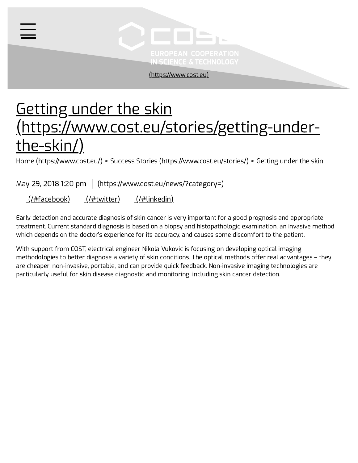

[\(https://www.cost.eu\)](https://www.cost.eu/)

# Getting under the skin [\(https://www.cost.eu/stories/getting-under](https://www.cost.eu/stories/getting-under-the-skin/)the-skin/)

Home [\(https://www.cost.eu/\)](https://www.cost.eu/) > Success Stories [\(https://www.cost.eu/stories/\)](https://www.cost.eu/stories/) > Getting under the skin

May 29, 2018 1:20 pm  $\frac{|\text{https://www.cost.eu/news/?category=})|}{|\text{https://www.cost.eu/news/?category=})|}$ 

[\(/#facebook\)](https://www.cost.eu/#facebook) [\(/#twitter\)](https://www.cost.eu/#twitter) [\(/#linkedin\)](https://www.cost.eu/#linkedin)

 $\equiv$ 

Early detection and accurate diagnosis of skin cancer is very important for a good prognosis and appropriate treatment. Current standard diagnosis is based on a biopsy and histopathologic examination, an invasive method which depends on the doctor's experience for its accuracy, and causes some discomfort to the patient.

With support from COST, electrical engineer Nikola Vukovic is focusing on developing optical imaging methodologies to better diagnose a variety of skin conditions. The optical methods offer real advantages – they are cheaper, non-invasive, portable, and can provide quick feedback. Non-invasive imaging technologies are particularly useful for skin disease diagnostic and monitoring, including skin cancer detection.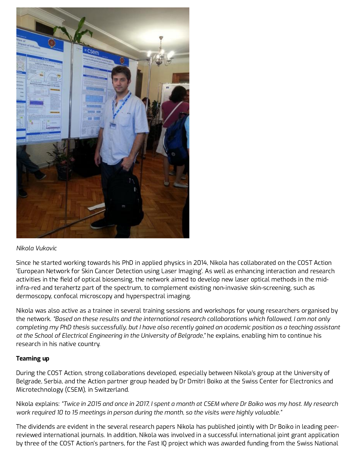

### *Nikola Vukovic*

Since he started working towards his PhD in applied physics in 2014, Nikola has collaborated on the COST Action 'European Network for Skin Cancer Detection using Laser Imaging'. As well as enhancing interaction and research activities in the field of optical biosensing, the network aimed to develop new laser optical methods in the midinfra-red and terahertz part of the spectrum, to complement existing non-invasive skin-screening, such as dermoscopy, confocal microscopy and hyperspectral imaging.

Nikola was also active as a trainee in several training sessions and workshops for young researchers organised by the network. *"Based on these results and the international research collaborations which followed, I am not only at the School of Electrical Engineering in the University of Belgrade," he explains, enabling him to continue his* research in his native country. completing my PhD thesis successfully, but I have also recently gained an academic position as a teaching assistant

### Teaming up

During the COST Action, strong collaborations developed, especially between Nikola's group at the University of Belgrade, Serbia, and the Action partner group headed by Dr Dmitri Boiko at the Swiss Center for Electronics and Microtechnology (CSEM), in Switzerland.

Nikola explains: "Twice in 2015 and once in 2017, I spent a month at CSEM where Dr Boiko was my host. My research *work required 10 to 15 meetings in person during the month, so the visits were highly valuable."*

The dividends are evident in the several research papers Nikola has published jointly with Dr Boiko in leading peerreviewed international journals. In addition, Nikola was involved in a successful international joint grant application by three of the COST Action's partners, for the Fast IQ project which was awarded funding from the Swiss National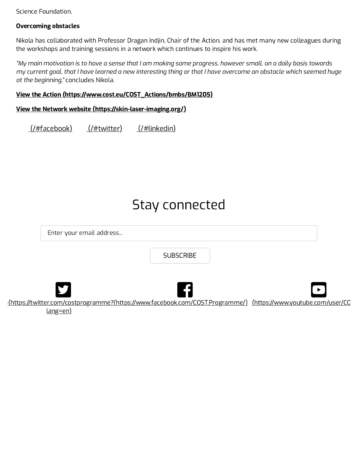Science Foundation.

### Overcoming obstacles

Nikola has collaborated with Professor Dragan Indjin, Chair of the Action, and has met many new colleagues during the workshops and training sessions in a network which continues to inspire his work.

*at the beginning,"* concludes Nikola. "My main motivation is to have a sense that I am making some progress, however small, on a daily basis towards my current goal, that I have learned a new interesting thing or that I have overcome an obstacle which seemed huge

#### View the Action [\(https://www.cost.eu/COST\\_Actions/bmbs/BM1205\)](https://www.cost.eu/COST_Actions/bmbs/BM1205)

View the Network website [\(https://skin-laser-imaging.org/\)](https://skin-laser-imaging.org/)

[\(/#facebook\)](https://www.cost.eu/#facebook) [\(/#twitter\)](https://www.cost.eu/#twitter) [\(/#linkedin\)](https://www.cost.eu/#linkedin)

## Stay connected